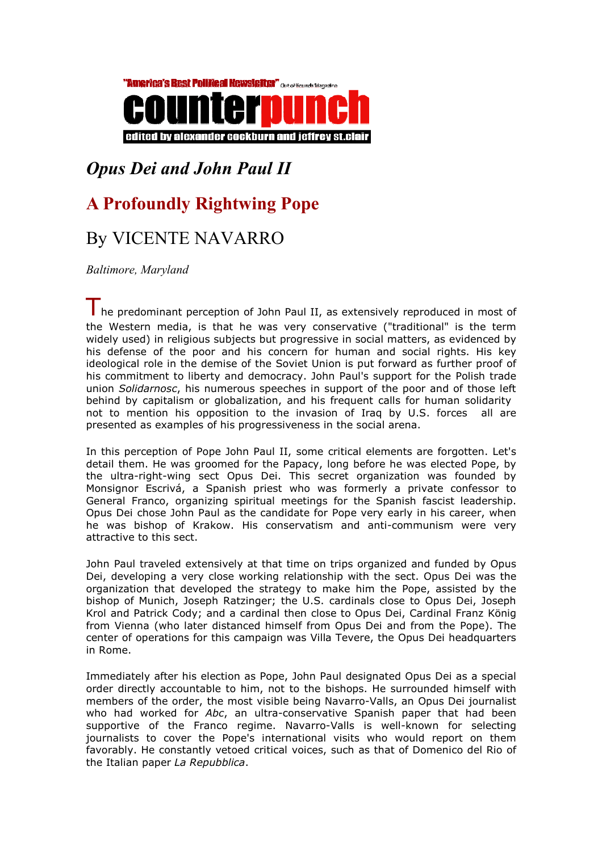

## Opus Dei and John Paul II

## A Profoundly Rightwing Pope

## By VICENTE NAVARRO

Baltimore, Maryland

The predominant perception of John Paul II, as extensively reproduced in most of the Western media, is that he was very conservative ("traditional" is the term widely used) in religious subjects but progressive in social matters, as evidenced by his defense of the poor and his concern for human and social rights. His key ideological role in the demise of the Soviet Union is put forward as further proof of his commitment to liberty and democracy. John Paul's support for the Polish trade union Solidarnosc, his numerous speeches in support of the poor and of those left behind by capitalism or globalization, and his frequent calls for human solidarity not to mention his opposition to the invasion of Iraq by U.S. forces all are presented as examples of his progressiveness in the social arena.

In this perception of Pope John Paul II, some critical elements are forgotten. Let's detail them. He was groomed for the Papacy, long before he was elected Pope, by the ultra-right-wing sect Opus Dei. This secret organization was founded by Monsignor Escrivá, a Spanish priest who was formerly a private confessor to General Franco, organizing spiritual meetings for the Spanish fascist leadership. Opus Dei chose John Paul as the candidate for Pope very early in his career, when he was bishop of Krakow. His conservatism and anti-communism were very attractive to this sect.

John Paul traveled extensively at that time on trips organized and funded by Opus Dei, developing a very close working relationship with the sect. Opus Dei was the organization that developed the strategy to make him the Pope, assisted by the bishop of Munich, Joseph Ratzinger; the U.S. cardinals close to Opus Dei, Joseph Krol and Patrick Cody; and a cardinal then close to Opus Dei, Cardinal Franz König from Vienna (who later distanced himself from Opus Dei and from the Pope). The center of operations for this campaign was Villa Tevere, the Opus Dei headquarters in Rome.

Immediately after his election as Pope, John Paul designated Opus Dei as a special order directly accountable to him, not to the bishops. He surrounded himself with members of the order, the most visible being Navarro-Valls, an Opus Dei journalist who had worked for Abc, an ultra-conservative Spanish paper that had been supportive of the Franco regime. Navarro-Valls is well-known for selecting journalists to cover the Pope's international visits who would report on them favorably. He constantly vetoed critical voices, such as that of Domenico del Rio of the Italian paper La Repubblica.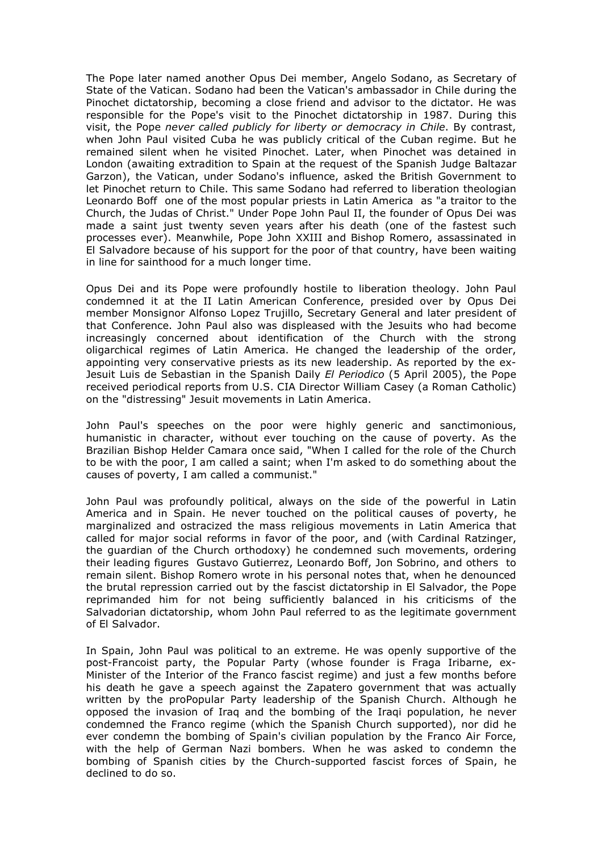The Pope later named another Opus Dei member, Angelo Sodano, as Secretary of State of the Vatican. Sodano had been the Vatican's ambassador in Chile during the Pinochet dictatorship, becoming a close friend and advisor to the dictator. He was responsible for the Pope's visit to the Pinochet dictatorship in 1987. During this visit, the Pope never called publicly for liberty or democracy in Chile. By contrast, when John Paul visited Cuba he was publicly critical of the Cuban regime. But he remained silent when he visited Pinochet. Later, when Pinochet was detained in London (awaiting extradition to Spain at the request of the Spanish Judge Baltazar Garzon), the Vatican, under Sodano's influence, asked the British Government to let Pinochet return to Chile. This same Sodano had referred to liberation theologian Leonardo Boff one of the most popular priests in Latin America as "a traitor to the Church, the Judas of Christ." Under Pope John Paul II, the founder of Opus Dei was made a saint just twenty seven years after his death (one of the fastest such processes ever). Meanwhile, Pope John XXIII and Bishop Romero, assassinated in El Salvadore because of his support for the poor of that country, have been waiting in line for sainthood for a much longer time.

Opus Dei and its Pope were profoundly hostile to liberation theology. John Paul condemned it at the II Latin American Conference, presided over by Opus Dei member Monsignor Alfonso Lopez Trujillo, Secretary General and later president of that Conference. John Paul also was displeased with the Jesuits who had become increasingly concerned about identification of the Church with the strong oligarchical regimes of Latin America. He changed the leadership of the order, appointing very conservative priests as its new leadership. As reported by the ex-Jesuit Luis de Sebastian in the Spanish Daily *El Periodico* (5 April 2005), the Pope received periodical reports from U.S. CIA Director William Casey (a Roman Catholic) on the "distressing" Jesuit movements in Latin America.

John Paul's speeches on the poor were highly generic and sanctimonious, humanistic in character, without ever touching on the cause of poverty. As the Brazilian Bishop Helder Camara once said, "When I called for the role of the Church to be with the poor, I am called a saint; when I'm asked to do something about the causes of poverty, I am called a communist."

John Paul was profoundly political, always on the side of the powerful in Latin America and in Spain. He never touched on the political causes of poverty, he marginalized and ostracized the mass religious movements in Latin America that called for major social reforms in favor of the poor, and (with Cardinal Ratzinger, the guardian of the Church orthodoxy) he condemned such movements, ordering their leading figures Gustavo Gutierrez, Leonardo Boff, Jon Sobrino, and others to remain silent. Bishop Romero wrote in his personal notes that, when he denounced the brutal repression carried out by the fascist dictatorship in El Salvador, the Pope reprimanded him for not being sufficiently balanced in his criticisms of the Salvadorian dictatorship, whom John Paul referred to as the legitimate government of El Salvador.

In Spain, John Paul was political to an extreme. He was openly supportive of the post-Francoist party, the Popular Party (whose founder is Fraga Iribarne, ex-Minister of the Interior of the Franco fascist regime) and just a few months before his death he gave a speech against the Zapatero government that was actually written by the proPopular Party leadership of the Spanish Church. Although he opposed the invasion of Iraq and the bombing of the Iraqi population, he never condemned the Franco regime (which the Spanish Church supported), nor did he ever condemn the bombing of Spain's civilian population by the Franco Air Force, with the help of German Nazi bombers. When he was asked to condemn the bombing of Spanish cities by the Church-supported fascist forces of Spain, he declined to do so.